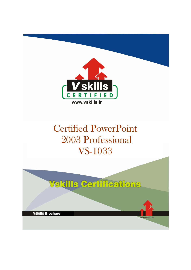

# Certified PowerPoint 2003 Professional VS-1033

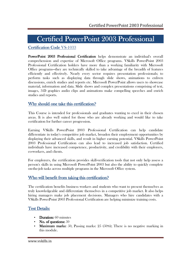# Certified PowerPoint 2003 Professional

## Certification Code VS-1033

PowerPoint 2003 Professional Certification helps demonstrate an individual's overall comprehension and expertise of Microsoft Office programs. VSkills PowerPoint 2003 Professional Certification holders have more than a working familiarity with Microsoft Office programs—they are technically skilled to take advantage of the breadth of features efficiently and effectively. Nearly every sector requires presentation professionals; to perform tasks such as displaying data through slide shows, animations to enliven discussions, enrich studies and reports etc. Microsoft PowerPoint allows users to showcase material, information and data. Slide shows and complex presentations comprising of text, images, 3-D graphics audio clips and animations make compelling speeches and enrich studies and reports.

## Why should one take this certification?

This Course is intended for professionals and graduates wanting to excel in their chosen areas. It is also well suited for those who are already working and would like to take certification for further career progression.

Earning VSkills PowerPoint 2003 Professional Certification can help candidate differentiate in today's competitive job market, broaden their employment opportunities by displaying their advanced skills, and result in higher earning potential. VSkills PowerPoint 2003 Professional Certification can also lead to increased job satisfaction. Certified individuals have increased competence, productivity, and credibility with their employers, co-workers, and clients.

For employers, the certification provides skill-verification tools that not only help assess a person's skills in using Microsoft PowerPoint 2003 but also the ability to quickly complete on-the-job tasks across multiple programs in the Microsoft Office system.

## Who will benefit from taking this certification?

The certification benefits business workers and students who want to present themselves as truly knowledgeable and differentiate themselves in a competitive job market. It also helps hiring managers make job placement decisions. Managers who hire candidates with a VSkills PowerPoint 2003 Professional Certification are helping minimize training costs.

## **Test Details:**

- Duration: 60 minutes
- No. of questions:  $50$
- **Maximum marks:** 50, Passing marks:  $25$  (50%); There is no negative marking in this module.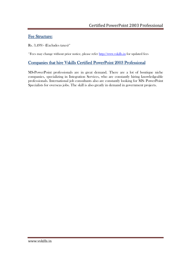## Fee Structure:

Rs. 3,499/- (Excludes taxes)\*

\*Fees may change without prior notice, please refer http://www.vskills.in for updated fees

## Companies that hire Vskills Certified PowerPoint 2003 Professional

MS-PowerPoint professionals are in great demand. There are a lot of boutique niche companies, specializing in Integration Services, who are constantly hiring knowledgeable professionals. International job consultants also are constantly looking for MS- PowerPoint Specialists for overseas jobs. The skill is also greatly in demand in government projects.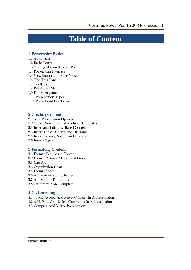## **Table of Content**

## 1 Powerpoint Basics

- 1.1 Advantages
- 1.2 Basic Terms
- 1.3 Starting Microsoft PowerPoint
- 1.4 PowerPoint Interface
- 1.5 View buttons and Slide Views
- 1.6 The Task Pane
- 1.7 Toolbars
- 1.8 Pull-Down Menus
- 1.9 File Management
- 1.10 Presentation Types
- 1.11 PowerPoint File Types

### 2 Creating Content

2.1 New Presentation Options 2.2 Create New Presentations from Templates 2.3 Insert and Edit Text-Based Content 2.4 Insert Tables, Charts, and Diagrams 2.5 Insert Pictures, Shapes and Graphics 2.6 Insert Objects

## 3 Formatting Content

- 3.1 Format Text-Based Content
- 3.2 Format Pictures, Shapes and Graphics
- 3.3 Clip Art
- 3.4 Organization Chart
- 3.5 Format Slides
- 3.6 Apply Animation Schemes
- 3.7 Apply Slide Transitions
- 3.8 Customize Slide Templates

## 4 Collaborating

- 4.1 Track, Accept, And Reject Changes In A Presentation
- 4.2 Add, Edit, And Delete Comments In A Presentation
- 4.3 Compare And Merge Presentations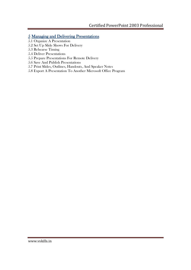## 5 Managing and Delivering Presentations

- 5.1 Organize A Presentation
- 5.2 Set Up Slide Shows For Delivery
- 5.3 Rehearse Timing
- 5.4 Deliver Presentations
- 5.5 Prepare Presentations For Remote Delivery
- 5.6 Save And Publish Presentations
- 5.7 Print Slides, Outlines, Handouts, And Speaker Notes
- 5.8 Export A Presentation To Another Microsoft Office Program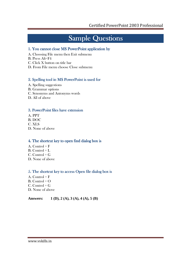# **Sample Questions**

### 1. You cannot close MS PowerPoint application by

- A. Choosing File menu then Exit submenu
- B. Press Alt+F4
- C. Click X button on title bar
- D. From File menu choose Close submenu

### 2. Spelling tool in MS PowerPoint is used for

- A. Spelling suggestions
- B. Grammar options
- C. Synonyms and Antonyms words
- D. All of above

### 3. PowerPoint files have extension

- A. PPT
- B. DOC
- C. XLS
- D. None of above

### 4. The shortcut key to open find dialog box is

- A. Control  $+ F$
- $B.$  Control + L
- $C.$  Control +  $G$
- D. None of above

### 5. The shortcut key to access Open file dialog box is

- A. Control + F
- B. Control + O
- $C.$  Control +  $G$
- D. None of above

### **Answers: 1 (D), 2 (A), 3 (A), 4 (A), 5 (B)**